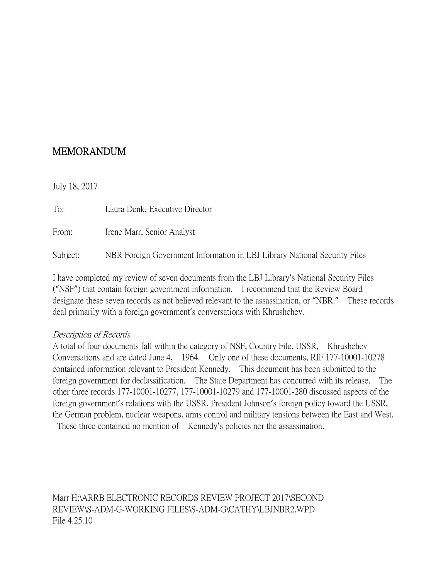## MEMORANDUM

July 18, 2017

To: Laura Denk, Executive Director From: Irene Marr, Senior Analyst Subject: NBR Foreign Government Information in LBJ Library National Security Files

I have completed my review of seven documents from the LBJ Library's National Security Files ("NSF") that contain foreign government information. I recommend that the Review Board designate these seven records as not believed relevant to the assassination, or "NBR." These records deal primarily with a foreign government's conversations with Khrushchev.

## Description of Records

A total of four documents fall within the category of NSF, Country File, USSR, Khrushchev Conversations and are dated June 4, 1964. Only one of these documents, RIF 177-10001-10278 contained information relevant to President Kennedy. This document has been submitted to the foreign government for declassification. The State Department has concurred with its release. The other three records 177-10001-10277, 177-10001-10279 and 177-10001-280 discussed aspects of the foreign government's relations with the USSR, President Johnson's foreign policy toward the USSR, the German problem, nuclear weapons, arms control and military tensions between the East and West.

These three contained no mention of Kennedy's policies nor the assassination.

Marr H:\ARRB ELECTRONIC RECORDS REVIEW PROJECT 2017\SECOND REVIEW\S-ADM-G-WORKING FILES\S-ADM-G\CATHY\LBJNBR2.WPD File 4.25.10